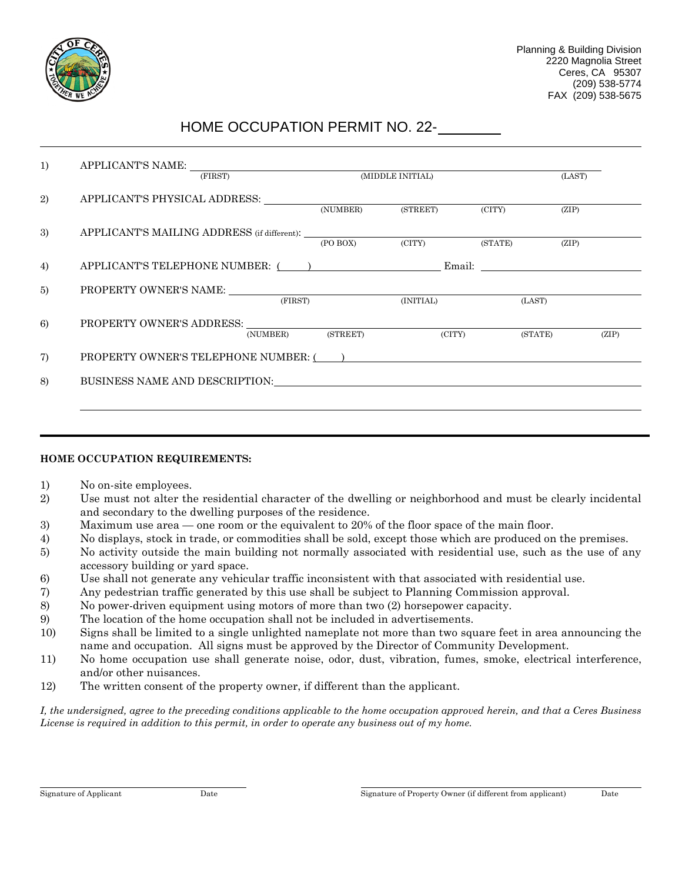

## HOME OCCUPATION PERMIT NO. 22-

| APPLICANT'S NAME:<br>(FIRST)                                                                                                                                                                                                   |                                     | (MIDDLE INITIAL) |  | (LAST)  |       |  |
|--------------------------------------------------------------------------------------------------------------------------------------------------------------------------------------------------------------------------------|-------------------------------------|------------------|--|---------|-------|--|
| APPLICANT'S PHYSICAL ADDRESS:                                                                                                                                                                                                  | (NUMBER)                            | (STREET) (CITY)  |  | (ZIP)   |       |  |
|                                                                                                                                                                                                                                |                                     |                  |  |         |       |  |
|                                                                                                                                                                                                                                | (PO BOX)                            | (CITY) (STATE)   |  | (ZIP)   |       |  |
|                                                                                                                                                                                                                                | APPLICANT'S TELEPHONE NUMBER: $($ ) |                  |  |         |       |  |
| $\begin{tabular}{c} \bf{PROPERTIES\; NAME:} \\ \hline \begin{tabular}{c} \bf \end{tabular} \end{tabular} \end{tabular}$                                                                                                        |                                     |                  |  |         |       |  |
|                                                                                                                                                                                                                                |                                     | (INITIAL)        |  | (LAST)  |       |  |
| PROPERTY OWNER'S ADDRESS: NAMEL AND THE SERVICE OF PROPERTY OWNER'S ADDRESS:                                                                                                                                                   |                                     |                  |  |         |       |  |
| (NUMBER)                                                                                                                                                                                                                       | (STREET)                            | $\Gamma$ (CITY)  |  | (STATE) | (ZIP) |  |
| PROPERTY OWNER'S TELEPHONE NUMBER: ()                                                                                                                                                                                          |                                     |                  |  |         |       |  |
| BUSINESS NAME AND DESCRIPTION: The contract of the contract of the contract of the contract of the contract of the contract of the contract of the contract of the contract of the contract of the contract of the contract of |                                     |                  |  |         |       |  |
|                                                                                                                                                                                                                                |                                     |                  |  |         |       |  |

## **HOME OCCUPATION REQUIREMENTS:**

- 1) No on-site employees.
- 2) Use must not alter the residential character of the dwelling or neighborhood and must be clearly incidental and secondary to the dwelling purposes of the residence.
- 3) Maximum use area one room or the equivalent to 20% of the floor space of the main floor.
- 4) No displays, stock in trade, or commodities shall be sold, except those which are produced on the premises.
- 5) No activity outside the main building not normally associated with residential use, such as the use of any accessory building or yard space.
- 6) Use shall not generate any vehicular traffic inconsistent with that associated with residential use.
- 7) Any pedestrian traffic generated by this use shall be subject to Planning Commission approval.
- 8) No power-driven equipment using motors of more than two (2) horsepower capacity.
- 9) The location of the home occupation shall not be included in advertisements.
- 10) Signs shall be limited to a single unlighted nameplate not more than two square feet in area announcing the name and occupation. All signs must be approved by the Director of Community Development.
- 11) No home occupation use shall generate noise, odor, dust, vibration, fumes, smoke, electrical interference, and/or other nuisances.
- 12) The written consent of the property owner, if different than the applicant.

*I, the undersigned, agree to the preceding conditions applicable to the home occupation approved herein, and that a Ceres Business License is required in addition to this permit, in order to operate any business out of my home.*